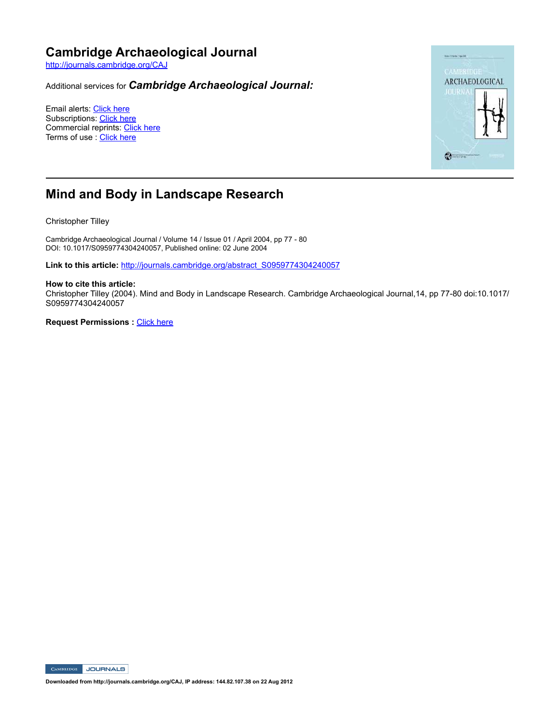### **Cambridge Archaeological Journal**

http://journals.cambridge.org/CAJ

Additional services for *Cambridge Archaeological Journal:*

Email alerts: Click here Subscriptions: Click here Commercial reprints: Click here Terms of use : Click here



## **Mind and Body in Landscape Research**

Christopher Tilley

Cambridge Archaeological Journal / Volume 14 / Issue 01 / April 2004, pp 77 - 80 DOI: 10.1017/S0959774304240057, Published online: 02 June 2004

**Link to this article:** http://journals.cambridge.org/abstract\_S0959774304240057

**How to cite this article:**

Christopher Tilley (2004). Mind and Body in Landscape Research. Cambridge Archaeological Journal,14, pp 77-80 doi:10.1017/ S0959774304240057

**Request Permissions : Click here** 

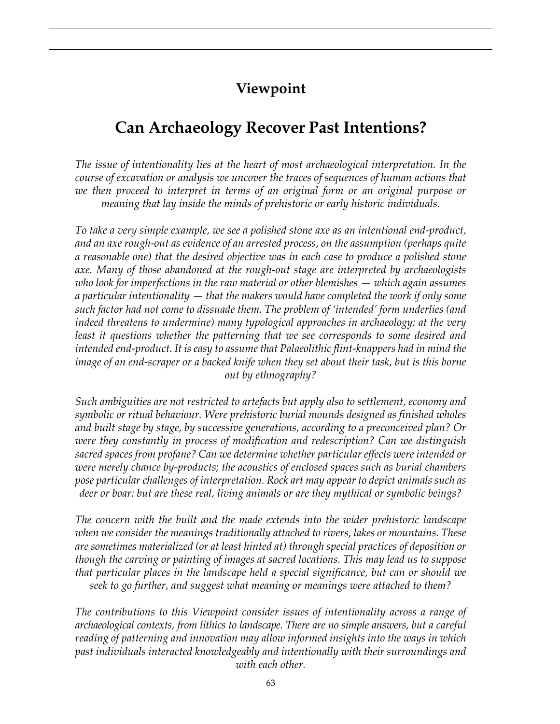# **Viewpoint**

# **Can Archaeology Recover Past Intentions?**

*The issue of intentionality lies at the heart of most archaeological interpretation. In the course of excavation or analysis we uncover the traces of sequences of human actions that we then proceed to interpret in terms of an original form or an original purpose or meaning that lay inside the minds of prehistoric or early historic individuals.*

*To take a very simple example, we see a polished stone axe as an intentional end-product, and an axe rough-out as evidence of an arrested process, on the assumption (perhaps quite a reasonable one) that the desired objective was in each case to produce a polished stone axe. Many of those abandoned at the rough-out stage are interpreted by archaeologists who look for imperfections in the raw material or other blemishes — which again assumes a particular intentionality — that the makers would have completed the work if only some such factor had not come to dissuade them. The problem of 'intended' form underlies (and indeed threatens to undermine) many typological approaches in archaeology; at the very least it questions whether the patterning that we see corresponds to some desired and intended end-product. It is easy to assume that Palaeolithic flint-knappers had in mind the image of an end-scraper or a backed knife when they set about their task, but is this borne out by ethnography?*

*Such ambiguities are not restricted to artefacts but apply also to settlement, economy and symbolic or ritual behaviour. Were prehistoric burial mounds designed as finished wholes and built stage by stage, by successive generations, according to a preconceived plan? Or were they constantly in process of modification and redescription? Can we distinguish sacred spaces from profane? Can we determine whether particular effects were intended or were merely chance by-products; the acoustics of enclosed spaces such as burial chambers pose particular challenges of interpretation. Rock art may appear to depict animals such as deer or boar: but are these real, living animals or are they mythical or symbolic beings?*

*The concern with the built and the made extends into the wider prehistoric landscape when we consider the meanings traditionally attached to rivers, lakes or mountains. These are sometimes materialized (or at least hinted at) through special practices of deposition or though the carving or painting of images at sacred locations. This may lead us to suppose that particular places in the landscape held a special significance, but can or should we seek to go further, and suggest what meaning or meanings were attached to them?*

*The contributions to this Viewpoint consider issues of intentionality across a range of archaeological contexts, from lithics to landscape. There are no simple answers, but a careful reading of patterning and innovation may allow informed insights into the ways in which past individuals interacted knowledgeably and intentionally with their surroundings and with each other.*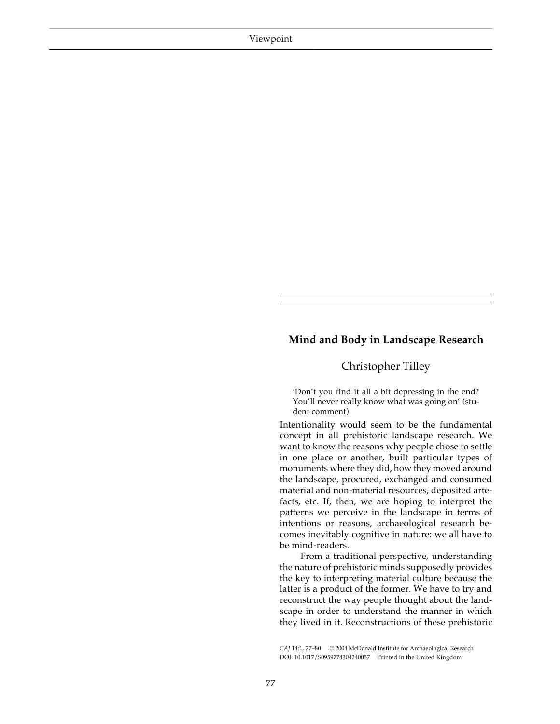### **Mind and Body in Landscape Research**

### Christopher Tilley

'Don't you find it all a bit depressing in the end? You'll never really know what was going on' (student comment)

Intentionality would seem to be the fundamental concept in all prehistoric landscape research. We want to know the reasons why people chose to settle in one place or another, built particular types of monuments where they did, how they moved around the landscape, procured, exchanged and consumed material and non-material resources, deposited artefacts, etc. If, then, we are hoping to interpret the patterns we perceive in the landscape in terms of intentions or reasons, archaeological research becomes inevitably cognitive in nature: we all have to be mind-readers.

From a traditional perspective, understanding the nature of prehistoric minds supposedly provides the key to interpreting material culture because the latter is a product of the former. We have to try and reconstruct the way people thought about the landscape in order to understand the manner in which they lived in it. Reconstructions of these prehistoric

*CAJ* 14:1, 77–80 © 2004 McDonald Institute for Archaeological Research DOI: 10.1017/S0959774304240057 Printed in the United Kingdom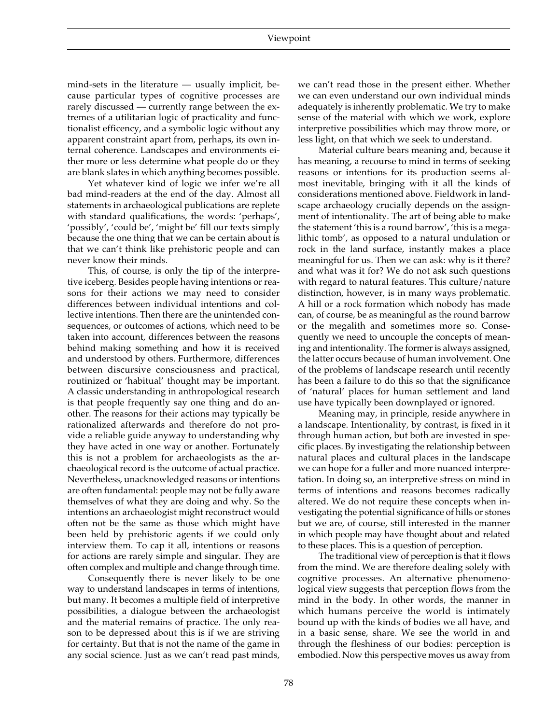mind-sets in the literature — usually implicit, because particular types of cognitive processes are rarely discussed — currently range between the extremes of a utilitarian logic of practicality and functionalist efficency, and a symbolic logic without any apparent constraint apart from, perhaps, its own internal coherence. Landscapes and environments either more or less determine what people do or they are blank slates in which anything becomes possible.

Yet whatever kind of logic we infer we're all bad mind-readers at the end of the day. Almost all statements in archaeological publications are replete with standard qualifications, the words: 'perhaps', 'possibly', 'could be', 'might be' fill our texts simply because the one thing that we can be certain about is that we can't think like prehistoric people and can never know their minds.

This, of course, is only the tip of the interpretive iceberg. Besides people having intentions or reasons for their actions we may need to consider differences between individual intentions and collective intentions. Then there are the unintended consequences, or outcomes of actions, which need to be taken into account, differences between the reasons behind making something and how it is received and understood by others. Furthermore, differences between discursive consciousness and practical, routinized or 'habitual' thought may be important. A classic understanding in anthropological research is that people frequently say one thing and do another. The reasons for their actions may typically be rationalized afterwards and therefore do not provide a reliable guide anyway to understanding why they have acted in one way or another. Fortunately this is not a problem for archaeologists as the archaeological record is the outcome of actual practice. Nevertheless, unacknowledged reasons or intentions are often fundamental: people may not be fully aware themselves of what they are doing and why. So the intentions an archaeologist might reconstruct would often not be the same as those which might have been held by prehistoric agents if we could only interview them. To cap it all, intentions or reasons for actions are rarely simple and singular. They are often complex and multiple and change through time.

Consequently there is never likely to be one way to understand landscapes in terms of intentions, but many. It becomes a multiple field of interpretive possibilities, a dialogue between the archaeologist and the material remains of practice. The only reason to be depressed about this is if we are striving for certainty. But that is not the name of the game in any social science. Just as we can't read past minds,

we can't read those in the present either. Whether we can even understand our own individual minds adequately is inherently problematic. We try to make sense of the material with which we work, explore interpretive possibilities which may throw more, or less light, on that which we seek to understand.

Material culture bears meaning and, because it has meaning, a recourse to mind in terms of seeking reasons or intentions for its production seems almost inevitable, bringing with it all the kinds of considerations mentioned above. Fieldwork in landscape archaeology crucially depends on the assignment of intentionality. The art of being able to make the statement 'this is a round barrow', 'this is a megalithic tomb', as opposed to a natural undulation or rock in the land surface, instantly makes a place meaningful for us. Then we can ask: why is it there? and what was it for? We do not ask such questions with regard to natural features. This culture/nature distinction, however, is in many ways problematic. A hill or a rock formation which nobody has made can, of course, be as meaningful as the round barrow or the megalith and sometimes more so. Consequently we need to uncouple the concepts of meaning and intentionality. The former is always assigned, the latter occurs because of human involvement. One of the problems of landscape research until recently has been a failure to do this so that the significance of 'natural' places for human settlement and land use have typically been downplayed or ignored.

Meaning may, in principle, reside anywhere in a landscape. Intentionality, by contrast, is fixed in it through human action, but both are invested in specific places. By investigating the relationship between natural places and cultural places in the landscape we can hope for a fuller and more nuanced interpretation. In doing so, an interpretive stress on mind in terms of intentions and reasons becomes radically altered. We do not require these concepts when investigating the potential significance of hills or stones but we are, of course, still interested in the manner in which people may have thought about and related to these places. This is a question of perception.

The traditional view of perception is that it flows from the mind. We are therefore dealing solely with cognitive processes. An alternative phenomenological view suggests that perception flows from the mind in the body. In other words, the manner in which humans perceive the world is intimately bound up with the kinds of bodies we all have, and in a basic sense, share. We see the world in and through the fleshiness of our bodies: perception is embodied. Now this perspective moves us away from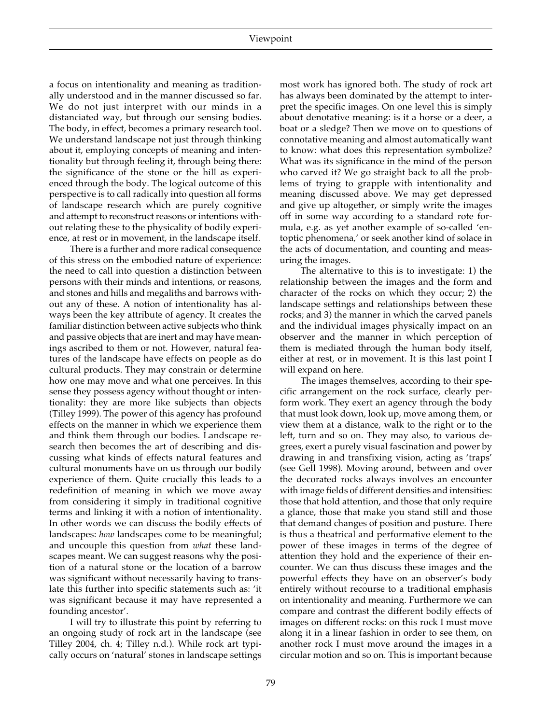a focus on intentionality and meaning as traditionally understood and in the manner discussed so far. We do not just interpret with our minds in a distanciated way, but through our sensing bodies. The body, in effect, becomes a primary research tool. We understand landscape not just through thinking about it, employing concepts of meaning and intentionality but through feeling it, through being there: the significance of the stone or the hill as experienced through the body. The logical outcome of this perspective is to call radically into question all forms of landscape research which are purely cognitive and attempt to reconstruct reasons or intentions without relating these to the physicality of bodily experience, at rest or in movement, in the landscape itself.

There is a further and more radical consequence of this stress on the embodied nature of experience: the need to call into question a distinction between persons with their minds and intentions, or reasons, and stones and hills and megaliths and barrows without any of these. A notion of intentionality has always been the key attribute of agency. It creates the familiar distinction between active subjects who think and passive objects that are inert and may have meanings ascribed to them or not. However, natural features of the landscape have effects on people as do cultural products. They may constrain or determine how one may move and what one perceives. In this sense they possess agency without thought or intentionality: they are more like subjects than objects (Tilley 1999). The power of this agency has profound effects on the manner in which we experience them and think them through our bodies. Landscape research then becomes the art of describing and discussing what kinds of effects natural features and cultural monuments have on us through our bodily experience of them. Quite crucially this leads to a redefinition of meaning in which we move away from considering it simply in traditional cognitive terms and linking it with a notion of intentionality. In other words we can discuss the bodily effects of landscapes: *how* landscapes come to be meaningful; and uncouple this question from *what* these landscapes meant. We can suggest reasons why the position of a natural stone or the location of a barrow was significant without necessarily having to translate this further into specific statements such as: 'it was significant because it may have represented a founding ancestor'.

I will try to illustrate this point by referring to an ongoing study of rock art in the landscape (see Tilley 2004, ch. 4; Tilley n.d.). While rock art typically occurs on 'natural' stones in landscape settings most work has ignored both. The study of rock art has always been dominated by the attempt to interpret the specific images. On one level this is simply about denotative meaning: is it a horse or a deer, a boat or a sledge? Then we move on to questions of connotative meaning and almost automatically want to know: what does this representation symbolize? What was its significance in the mind of the person who carved it? We go straight back to all the problems of trying to grapple with intentionality and meaning discussed above. We may get depressed and give up altogether, or simply write the images off in some way according to a standard rote formula, e.g. as yet another example of so-called 'entoptic phenomena,' or seek another kind of solace in the acts of documentation, and counting and measuring the images.

The alternative to this is to investigate: 1) the relationship between the images and the form and character of the rocks on which they occur; 2) the landscape settings and relationships between these rocks; and 3) the manner in which the carved panels and the individual images physically impact on an observer and the manner in which perception of them is mediated through the human body itself, either at rest, or in movement. It is this last point I will expand on here.

The images themselves, according to their specific arrangement on the rock surface, clearly perform work. They exert an agency through the body that must look down, look up, move among them, or view them at a distance, walk to the right or to the left, turn and so on. They may also, to various degrees, exert a purely visual fascination and power by drawing in and transfixing vision, acting as 'traps' (see Gell 1998). Moving around, between and over the decorated rocks always involves an encounter with image fields of different densities and intensities: those that hold attention, and those that only require a glance, those that make you stand still and those that demand changes of position and posture. There is thus a theatrical and performative element to the power of these images in terms of the degree of attention they hold and the experience of their encounter. We can thus discuss these images and the powerful effects they have on an observer's body entirely without recourse to a traditional emphasis on intentionality and meaning. Furthermore we can compare and contrast the different bodily effects of images on different rocks: on this rock I must move along it in a linear fashion in order to see them, on another rock I must move around the images in a circular motion and so on. This is important because